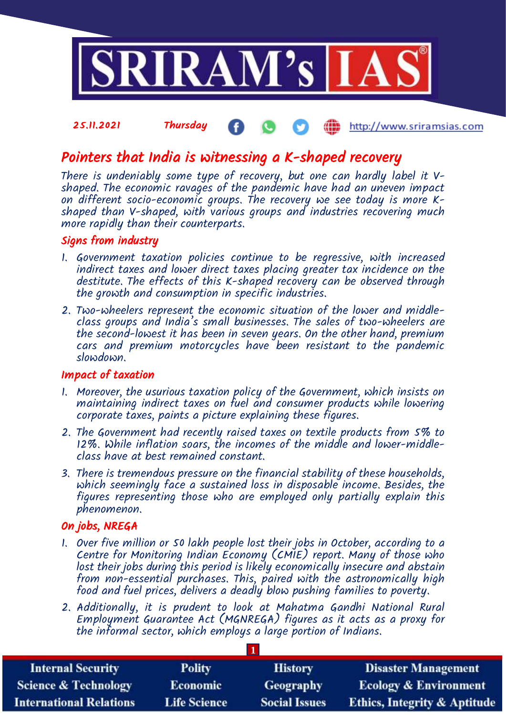

#### 25.11.2021 Thursday http://www.sriramsias.com

# Pointers that India is witnessing a K-shaped recovery

There is undeniably some type of recovery, but one can hardly label it Vshaped. The economic ravages of the pandemic have had an uneven impact on different socio-economic groups. The recovery we see today is more Kshaped than V-shaped, with various groups and industries recovering much more rapidly than their counterparts.

### Signs from industry

- 1. Government taxation policies continue to be regressive, with increased indirect taxes and lower direct taxes placing greater tax incidence on the destitute. The effects of this K-shaped recovery can be observed through the growth and consumption in specific industries.
- 2. Two-wheelers represent the economic situation of the lower and middleclass groups and India's small businesses. The sales of two-wheelers are the second-lowest it has been in seven years. On the other hand, premium cars and premium motorcycles have been resistant to the pandemic slowdown.

### Impact of taxation

- 1. Moreover, the usurious taxation policy of the Government, which insists on maintaining indirect taxes on fuel and consumer products while lowering corporate taxes, paints a picture explaining these figures.
- 2. The Government had recently raised taxes on textile products from 5% to 12%. While inflation soars, the incomes of the middle and lower-middleclass have at best remained constant.
- 3. There is tremendous pressure on the financial stability of these households, which seemingly face a sustained loss in disposable income. Besides, the figures representing those who are employed only partially explain this phenomenon.

# On jobs, NREGA

- 1. Over five million or 50 lakh people lost their jobs in October, according to a Centre for Monitoring Indian Economy (CMIE) report. Many of those who lost their jobs during this period is likely economically insecure and abstain from non-essential purchases. This, paired with the astronomically high food and fuel prices, delivers a deadly blow pushing families to poverty.
- 2. Additionally, it is prudent to look at Mahatma Gandhi National Rural Employment Guarantee Act (MGNREGA) figures as it acts as a proxy for the informal sector, which employs a large portion of Indians.

| <b>Internal Security</b>        | <b>Polity</b>       | <b>History</b>       | <b>Disaster Management</b>              |  |  |
|---------------------------------|---------------------|----------------------|-----------------------------------------|--|--|
| <b>Science &amp; Technology</b> | Economic            | <b>Geography</b>     | <b>Ecology &amp; Environment</b>        |  |  |
| <b>International Relations</b>  | <b>Life Science</b> | <b>Social Issues</b> | <b>Ethics, Integrity &amp; Aptitude</b> |  |  |